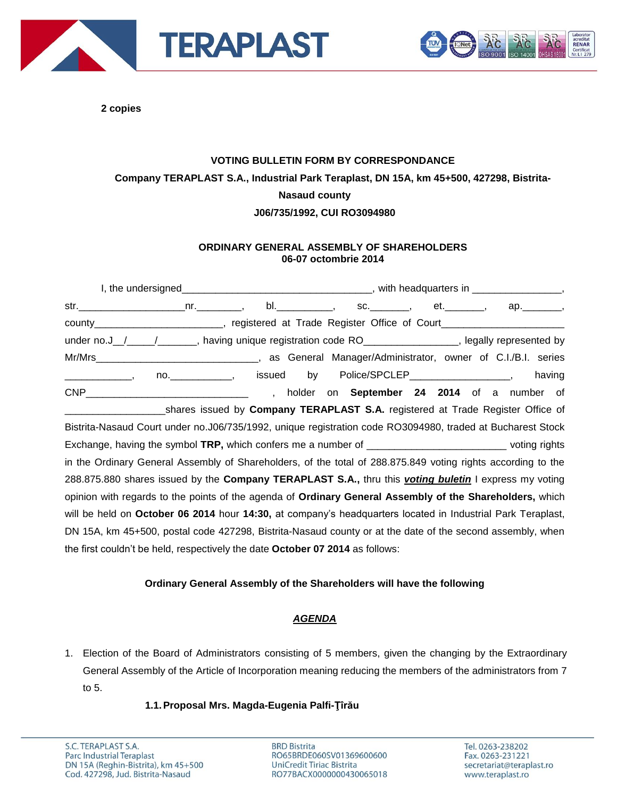



**2 copies**

# **VOTING BULLETIN FORM BY CORRESPONDANCE Company TERAPLAST S.A., Industrial Park Teraplast, DN 15A, km 45+500, 427298, Bistrita-Nasaud county J06/735/1992, CUI RO3094980**

## **ORDINARY GENERAL ASSEMBLY OF SHAREHOLDERS 06-07 octombrie 2014**

I, the undersigned\_\_\_\_\_\_\_\_\_\_\_\_\_\_\_\_\_\_\_\_\_\_\_\_\_\_\_\_\_\_\_\_\_\_, with headquarters in \_\_\_\_\_\_\_\_\_\_\_\_\_\_\_\_, str. 10. The street of the street of the street of the street of the street of the street of the street of the s county\_\_\_\_\_\_\_\_\_\_\_\_\_\_\_\_\_\_\_\_\_\_\_, registered at Trade Register Office of Court\_\_\_\_\_\_\_\_\_\_\_\_\_\_\_\_\_\_\_\_\_\_\_\_ under no.J\_/\_\_\_\_/\_\_\_\_\_\_\_, having unique registration code RO\_\_\_\_\_\_\_\_\_\_\_\_\_\_\_\_, legally represented by Mr/Mrs\_\_\_\_\_\_\_\_\_\_\_\_\_\_\_\_\_\_\_\_\_\_\_\_\_\_\_\_\_, as General Manager/Administrator, owner of C.I./B.I. series \_\_\_\_\_\_\_, no.\_\_\_\_\_\_\_\_\_\_\_\_, issued by Police/SPCLEP\_\_\_\_\_\_\_\_\_\_\_\_\_\_\_\_\_\_\_, having CNP\_\_\_\_\_\_\_\_\_\_\_\_\_\_\_\_\_\_\_\_\_\_\_\_\_\_\_\_\_ , holder on **September 24 2014** of a number of \_\_\_\_\_\_\_\_\_\_\_\_\_\_\_\_\_\_shares issued by **Company TERAPLAST S.A.** registered at Trade Register Office of Bistrita-Nasaud Court under no.J06/735/1992, unique registration code RO3094980, traded at Bucharest Stock Exchange, having the symbol **TRP**, which confers me a number of **Exchange** voting rights in the Ordinary General Assembly of Shareholders, of the total of 288.875.849 voting rights according to the 288.875.880 shares issued by the **Company TERAPLAST S.A.,** thru this *voting buletin* I express my voting opinion with regards to the points of the agenda of **Ordinary General Assembly of the Shareholders,** which will be held on **October 06 2014** hour **14:30,** at company's headquarters located in Industrial Park Teraplast, DN 15A, km 45+500, postal code 427298, Bistrita-Nasaud county or at the date of the second assembly, when the first couldn't be held, respectively the date **October 07 2014** as follows:

#### **Ordinary General Assembly of the Shareholders will have the following**

## *AGENDA*

1. Election of the Board of Administrators consisting of 5 members, given the changing by the Extraordinary General Assembly of the Article of Incorporation meaning reducing the members of the administrators from 7 to 5.

#### **1.1.Proposal Mrs. Magda-Eugenia Palfi-Ţîrău**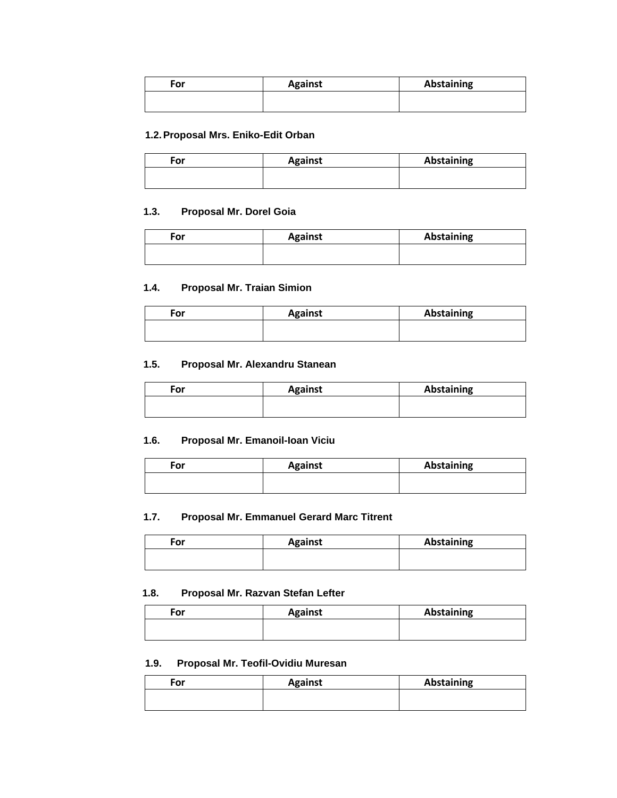| For | <b>Against</b> | Abstaining |
|-----|----------------|------------|
|     |                |            |

#### **1.2.Proposal Mrs. Eniko-Edit Orban**

| For | <b>Against</b> | Abstaining |
|-----|----------------|------------|
|     |                |            |

#### **1.3. Proposal Mr. Dorel Goia**

| For | <b>Against</b> | Abstaining |
|-----|----------------|------------|
|     |                |            |

#### **1.4. Proposal Mr. Traian Simion**

| For | <b>Against</b> | <b>Abstaining</b> |
|-----|----------------|-------------------|
|     |                |                   |

#### **1.5. Proposal Mr. Alexandru Stanean**

| For | <b>Against</b> | Abstaining |
|-----|----------------|------------|
|     |                |            |

## **1.6. Proposal Mr. Emanoil-Ioan Viciu**

| For | <b>Against</b> | <b>Abstaining</b> |
|-----|----------------|-------------------|
|     |                |                   |

## **1.7. Proposal Mr. Emmanuel Gerard Marc Titrent**

| ™or | <b>Against</b> | <b>Abstaining</b> |
|-----|----------------|-------------------|
|     |                |                   |

#### **1.8. Proposal Mr. Razvan Stefan Lefter**

| <b>For</b> | <b>Against</b> | <b>Abstaining</b> |
|------------|----------------|-------------------|
|            |                |                   |
|            |                |                   |

#### **1.9. Proposal Mr. Teofil-Ovidiu Muresan**

| For | <b>Against</b> | <b>Abstaining</b> |
|-----|----------------|-------------------|
|     |                |                   |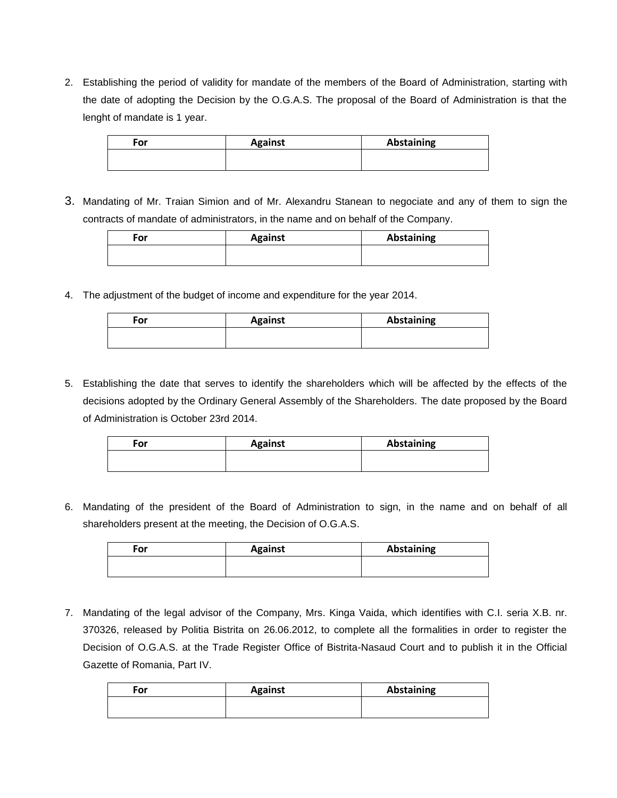2. Establishing the period of validity for mandate of the members of the Board of Administration, starting with the date of adopting the Decision by the O.G.A.S. The proposal of the Board of Administration is that the lenght of mandate is 1 year.

| For | <b>Against</b> | Abstaining |
|-----|----------------|------------|
|     |                |            |

3. Mandating of Mr. Traian Simion and of Mr. Alexandru Stanean to negociate and any of them to sign the contracts of mandate of administrators, in the name and on behalf of the Company.

| For | <b>Against</b> | Abstaining |
|-----|----------------|------------|
|     |                |            |

4. The adjustment of the budget of income and expenditure for the year 2014.

| For | <b>Against</b> | Abstaining |
|-----|----------------|------------|
|     |                |            |
|     |                |            |

5. Establishing the date that serves to identify the shareholders which will be affected by the effects of the decisions adopted by the Ordinary General Assembly of the Shareholders. The date proposed by the Board of Administration is October 23rd 2014.

| For | <b>Against</b> | <b>Abstaining</b> |
|-----|----------------|-------------------|
|     |                |                   |

6. Mandating of the president of the Board of Administration to sign, in the name and on behalf of all shareholders present at the meeting, the Decision of O.G.A.S.

| For | <b>Against</b> | <b>Abstaining</b> |
|-----|----------------|-------------------|
|     |                |                   |
|     |                |                   |

7. Mandating of the legal advisor of the Company, Mrs. Kinga Vaida, which identifies with C.I. seria X.B. nr. 370326, released by Politia Bistrita on 26.06.2012, to complete all the formalities in order to register the Decision of O.G.A.S. at the Trade Register Office of Bistrita-Nasaud Court and to publish it in the Official Gazette of Romania, Part IV.

| <b>Abstaining</b> |
|-------------------|
|                   |
|                   |